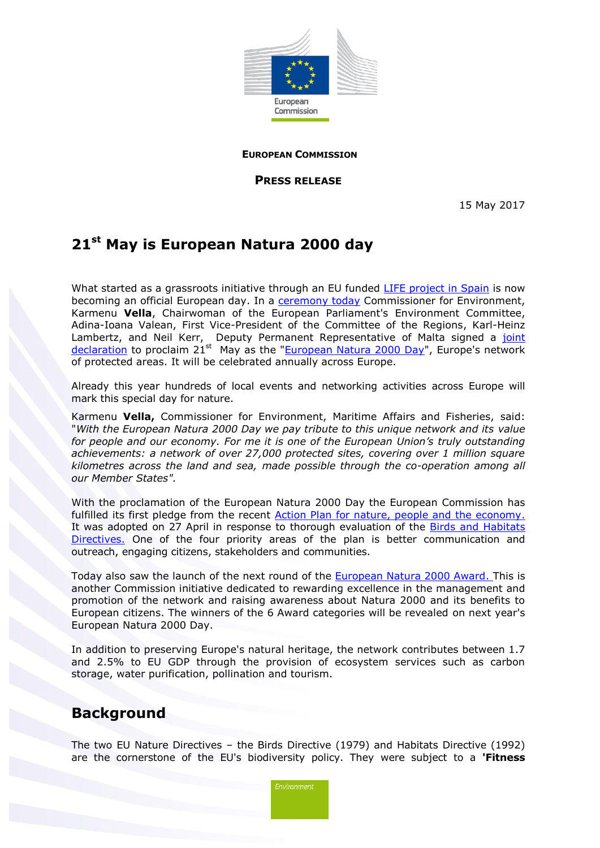

**EUROPEAN COMMISSION**

**PRESS RELEASE**

15 May 2017

## **21st May is European Natura 2000 day**

What started as a grassroots initiative through an EU funded [LIFE project in Spain](http://www.natura2000day.eu/en/) is now becoming an official European day. In a [ceremony today](http://ec.europa.eu/avservices/video/player.cfm?ref=I138248) Commissioner for Environment, [Karmenu](http://ec.europa.eu/commission/2014-2019/vella_en) **Vella**, Chairwoman of the European Parliament's Environment Committee, Adina-Ioana Valean, First Vice-President of the Committee of the Regions, Karl-Heinz Lambertz, and Neil Kerr, Deputy Permanent Representative of Malta signed a joint [declaration](http://ec.europa.eu/environment/nature/natura2000/EUnatura2000day/jointdeclaration.pdf) to proclaim  $21^{st}$  May as the ["European Natura 2000 Day"](http://ec.europa.eu/environment/nature/natura2000/EUnatura2000day/index_en.htm), Europe's network of protected areas. It will be celebrated annually across Europe.

Already this year hundreds of local events and networking activities across Europe will mark this special day for nature.

Karmenu **Vella,** Commissioner for Environment, Maritime Affairs and Fisheries, said: "*With the European Natura 2000 Day we pay tribute to this unique network and its value for people and our economy. For me it is one of the European Union's truly outstanding achievements: a network of over 27,000 protected sites, covering over 1 million square kilometres across the land and sea, made possible through the co-operation among all our Member States".*

With the proclamation of the European Natura 2000 Day the European Commission has fulfilled its first pledge from the recent Action Plan for nature, people and the economy. It was adopted on 27 April in response to thorough evaluation of the Birds and Habitats [Directives.](http://ec.europa.eu/environment/nature/legislation/index_en.htm) One of the four priority areas of the plan is better communication and outreach, engaging citizens, stakeholders and communities.

Today also saw the launch of the next round of the [European Natura 2000 Award.](http://ec.europa.eu/environment/nature/natura2000/awards/index_en.htm) This is another Commission initiative dedicated to rewarding excellence in the management and promotion of the network and raising awareness about Natura 2000 and its benefits to European citizens. The winners of the 6 Award categories will be revealed on next year's European Natura 2000 Day.

In addition to preserving Europe's natural heritage, the network contributes between 1.7 and 2.5% to EU GDP through the provision of ecosystem services such as carbon storage, water purification, pollination and tourism.

## **Background**

The two EU Nature Directives – the Birds Directive (1979) and Habitats Directive (1992) are the cornerstone of the EU's biodiversity policy. They were subject to a **'Fitness**